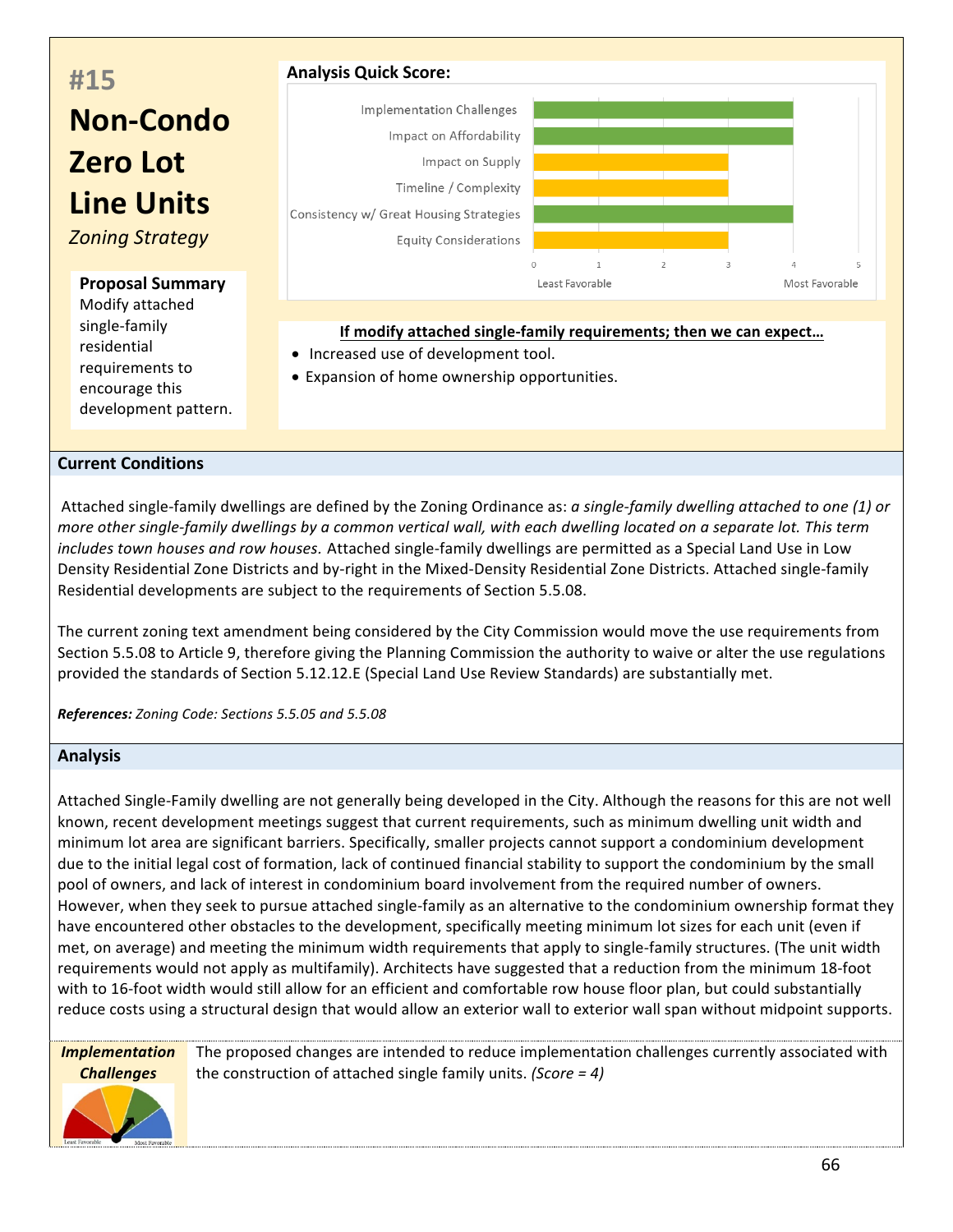

## **Current Conditions**

development pattern.

Attached single-family dwellings are defined by the Zoning Ordinance as: *a single-family dwelling attached to one (1)* or *more* other single-family dwellings by a common vertical wall, with each dwelling located on a separate lot. This term *includes town houses and row houses*. Attached single-family dwellings are permitted as a Special Land Use in Low Density Residential Zone Districts and by-right in the Mixed-Density Residential Zone Districts. Attached single-family Residential developments are subject to the requirements of Section 5.5.08.

The current zoning text amendment being considered by the City Commission would move the use requirements from Section 5.5.08 to Article 9, therefore giving the Planning Commission the authority to waive or alter the use regulations provided the standards of Section 5.12.12.E (Special Land Use Review Standards) are substantially met.

*References: Zoning Code: Sections 5.5.05 and 5.5.08*

## **Analysis**

Attached Single-Family dwelling are not generally being developed in the City. Although the reasons for this are not well known, recent development meetings suggest that current requirements, such as minimum dwelling unit width and minimum lot area are significant barriers. Specifically, smaller projects cannot support a condominium development due to the initial legal cost of formation, lack of continued financial stability to support the condominium by the small pool of owners, and lack of interest in condominium board involvement from the required number of owners. However, when they seek to pursue attached single-family as an alternative to the condominium ownership format they have encountered other obstacles to the development, specifically meeting minimum lot sizes for each unit (even if met, on average) and meeting the minimum width requirements that apply to single-family structures. (The unit width requirements would not apply as multifamily). Architects have suggested that a reduction from the minimum 18-foot with to 16-foot width would still allow for an efficient and comfortable row house floor plan, but could substantially reduce costs using a structural design that would allow an exterior wall to exterior wall span without midpoint supports.

*Implementation Challenges*

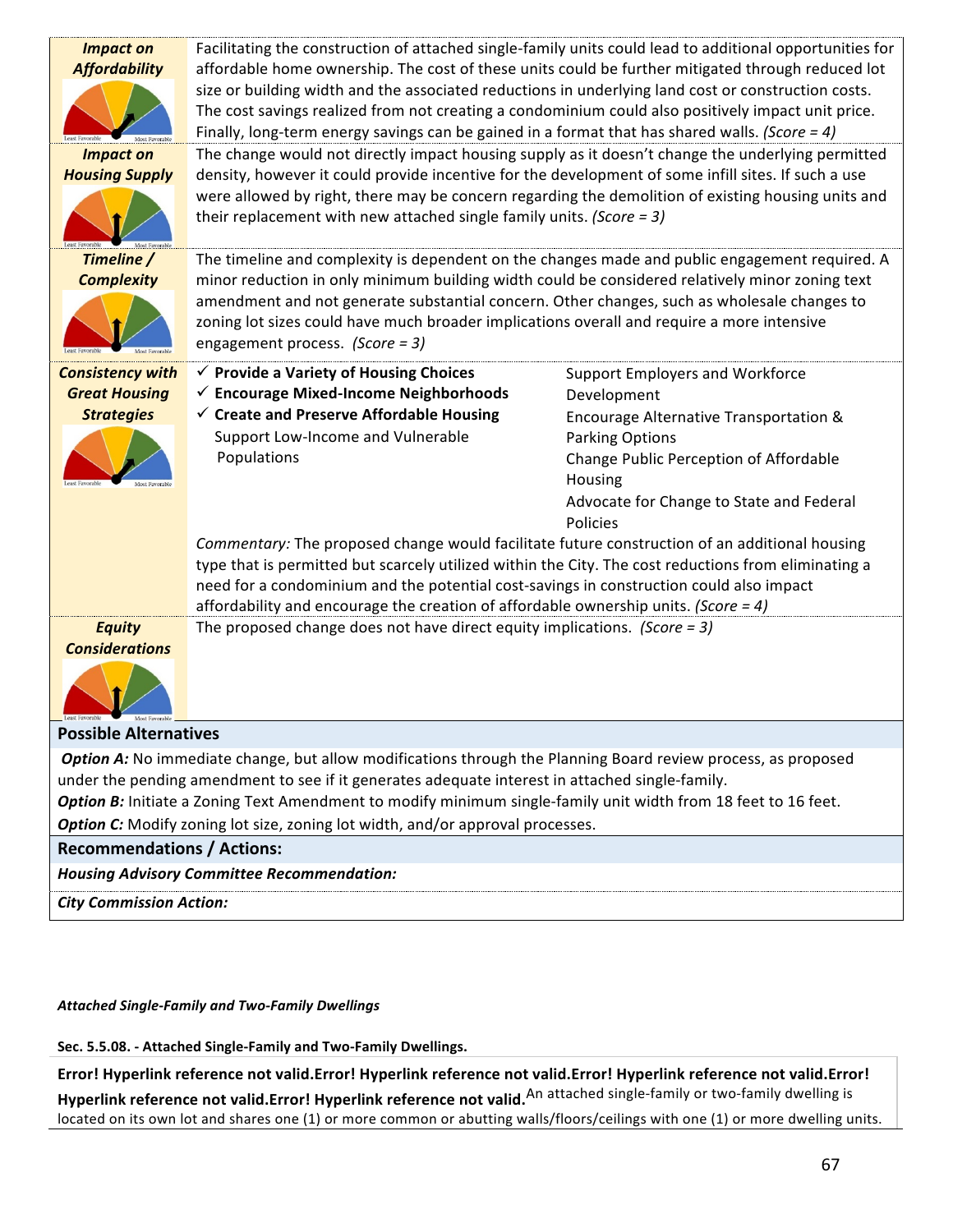| <b>Impact on</b><br><b>Affordability</b><br><b>Impact on</b><br><b>Housing Supply</b>                                                                                                                                                                                                                                                                                                                                | Facilitating the construction of attached single-family units could lead to additional opportunities for<br>affordable home ownership. The cost of these units could be further mitigated through reduced lot<br>size or building width and the associated reductions in underlying land cost or construction costs.<br>The cost savings realized from not creating a condominium could also positively impact unit price.<br>Finally, long-term energy savings can be gained in a format that has shared walls. (Score = 4)<br>The change would not directly impact housing supply as it doesn't change the underlying permitted<br>density, however it could provide incentive for the development of some infill sites. If such a use<br>were allowed by right, there may be concern regarding the demolition of existing housing units and<br>their replacement with new attached single family units. (Score = $3$ ) |                                                             |
|----------------------------------------------------------------------------------------------------------------------------------------------------------------------------------------------------------------------------------------------------------------------------------------------------------------------------------------------------------------------------------------------------------------------|---------------------------------------------------------------------------------------------------------------------------------------------------------------------------------------------------------------------------------------------------------------------------------------------------------------------------------------------------------------------------------------------------------------------------------------------------------------------------------------------------------------------------------------------------------------------------------------------------------------------------------------------------------------------------------------------------------------------------------------------------------------------------------------------------------------------------------------------------------------------------------------------------------------------------|-------------------------------------------------------------|
| Timeline /<br><b>Complexity</b>                                                                                                                                                                                                                                                                                                                                                                                      | The timeline and complexity is dependent on the changes made and public engagement required. A<br>minor reduction in only minimum building width could be considered relatively minor zoning text<br>amendment and not generate substantial concern. Other changes, such as wholesale changes to<br>zoning lot sizes could have much broader implications overall and require a more intensive<br>engagement process. (Score = 3)                                                                                                                                                                                                                                                                                                                                                                                                                                                                                         |                                                             |
| <b>Consistency with</b>                                                                                                                                                                                                                                                                                                                                                                                              | $\checkmark$ Provide a Variety of Housing Choices                                                                                                                                                                                                                                                                                                                                                                                                                                                                                                                                                                                                                                                                                                                                                                                                                                                                         | <b>Support Employers and Workforce</b>                      |
| <b>Great Housing</b><br><b>Strategies</b>                                                                                                                                                                                                                                                                                                                                                                            | $\checkmark$ Encourage Mixed-Income Neighborhoods<br>$\checkmark$ Create and Preserve Affordable Housing                                                                                                                                                                                                                                                                                                                                                                                                                                                                                                                                                                                                                                                                                                                                                                                                                  | Development<br>Encourage Alternative Transportation &       |
|                                                                                                                                                                                                                                                                                                                                                                                                                      | Support Low-Income and Vulnerable                                                                                                                                                                                                                                                                                                                                                                                                                                                                                                                                                                                                                                                                                                                                                                                                                                                                                         | <b>Parking Options</b>                                      |
|                                                                                                                                                                                                                                                                                                                                                                                                                      | Populations                                                                                                                                                                                                                                                                                                                                                                                                                                                                                                                                                                                                                                                                                                                                                                                                                                                                                                               | Change Public Perception of Affordable                      |
|                                                                                                                                                                                                                                                                                                                                                                                                                      |                                                                                                                                                                                                                                                                                                                                                                                                                                                                                                                                                                                                                                                                                                                                                                                                                                                                                                                           | Housing                                                     |
|                                                                                                                                                                                                                                                                                                                                                                                                                      |                                                                                                                                                                                                                                                                                                                                                                                                                                                                                                                                                                                                                                                                                                                                                                                                                                                                                                                           | Advocate for Change to State and Federal<br><b>Policies</b> |
|                                                                                                                                                                                                                                                                                                                                                                                                                      | Commentary: The proposed change would facilitate future construction of an additional housing<br>type that is permitted but scarcely utilized within the City. The cost reductions from eliminating a<br>need for a condominium and the potential cost-savings in construction could also impact<br>affordability and encourage the creation of affordable ownership units. (Score = 4)                                                                                                                                                                                                                                                                                                                                                                                                                                                                                                                                   |                                                             |
| <b>Equity</b><br>The proposed change does not have direct equity implications. (Score = 3)<br><b>Considerations</b>                                                                                                                                                                                                                                                                                                  |                                                                                                                                                                                                                                                                                                                                                                                                                                                                                                                                                                                                                                                                                                                                                                                                                                                                                                                           |                                                             |
| <b>Possible Alternatives</b>                                                                                                                                                                                                                                                                                                                                                                                         |                                                                                                                                                                                                                                                                                                                                                                                                                                                                                                                                                                                                                                                                                                                                                                                                                                                                                                                           |                                                             |
| Option A: No immediate change, but allow modifications through the Planning Board review process, as proposed<br>under the pending amendment to see if it generates adequate interest in attached single-family.<br>Option B: Initiate a Zoning Text Amendment to modify minimum single-family unit width from 18 feet to 16 feet.<br>Option C: Modify zoning lot size, zoning lot width, and/or approval processes. |                                                                                                                                                                                                                                                                                                                                                                                                                                                                                                                                                                                                                                                                                                                                                                                                                                                                                                                           |                                                             |
| <b>Recommendations / Actions:</b>                                                                                                                                                                                                                                                                                                                                                                                    |                                                                                                                                                                                                                                                                                                                                                                                                                                                                                                                                                                                                                                                                                                                                                                                                                                                                                                                           |                                                             |
| <b>Housing Advisory Committee Recommendation:</b>                                                                                                                                                                                                                                                                                                                                                                    |                                                                                                                                                                                                                                                                                                                                                                                                                                                                                                                                                                                                                                                                                                                                                                                                                                                                                                                           |                                                             |
| <b>City Commission Action:</b>                                                                                                                                                                                                                                                                                                                                                                                       |                                                                                                                                                                                                                                                                                                                                                                                                                                                                                                                                                                                                                                                                                                                                                                                                                                                                                                                           |                                                             |

## *Attached Single-Family and Two-Family Dwellings*

• **Sec. 5.5.08. - Attached Single-Family and Two-Family Dwellings.**

Error! Hyperlink reference not valid.Error! Hyperlink reference not valid.Error! Hyperlink reference not valid.Error! Hyperlink reference not valid.Error! Hyperlink reference not valid.<sup>An attached single-family or two-family dwelling is</sup> located on its own lot and shares one (1) or more common or abutting walls/floors/ceilings with one (1) or more dwelling units.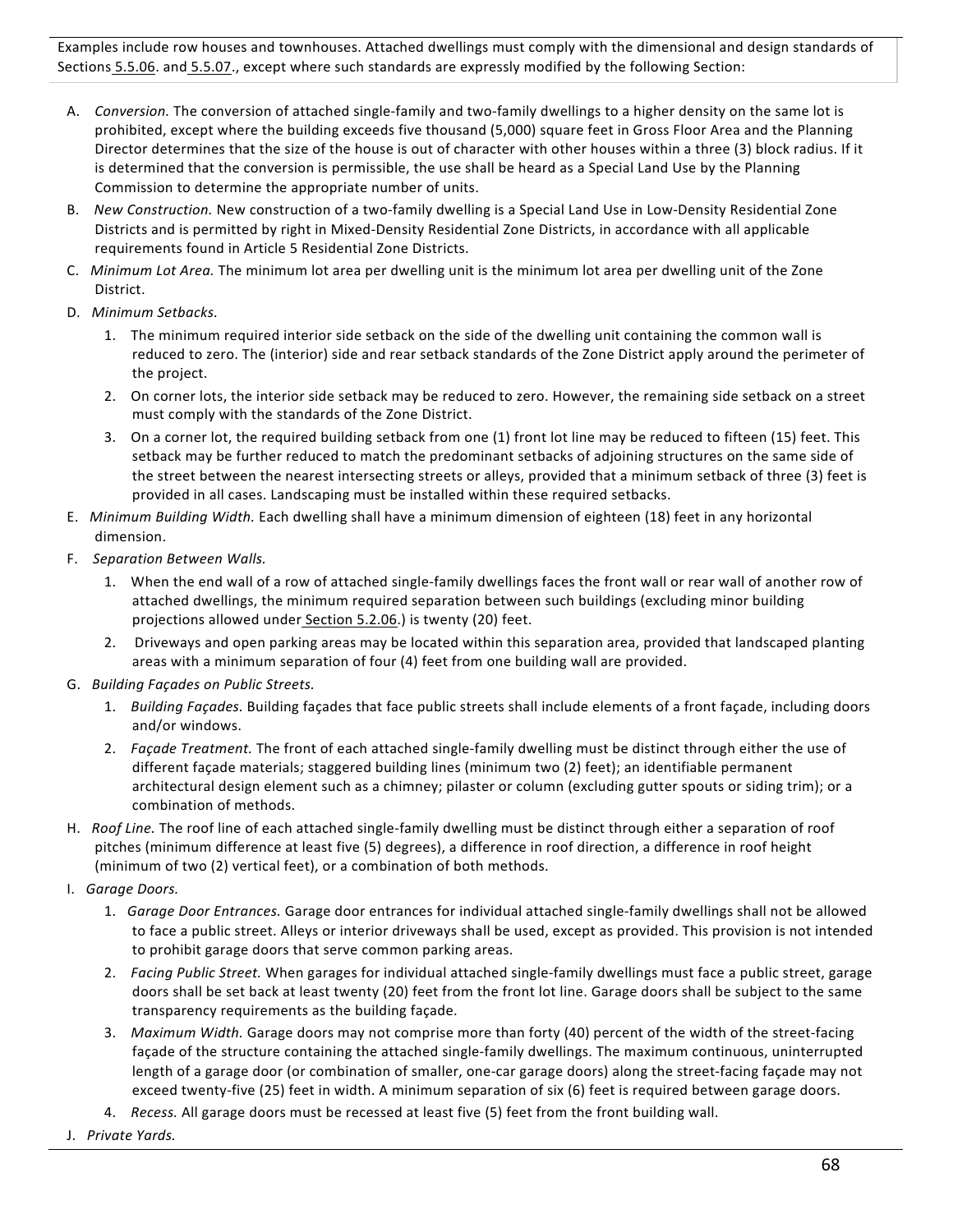Examples include row houses and townhouses. Attached dwellings must comply with the dimensional and design standards of Sections 5.5.06. and 5.5.07., except where such standards are expressly modified by the following Section:

- A. Conversion. The conversion of attached single-family and two-family dwellings to a higher density on the same lot is prohibited, except where the building exceeds five thousand (5,000) square feet in Gross Floor Area and the Planning Director determines that the size of the house is out of character with other houses within a three (3) block radius. If it is determined that the conversion is permissible, the use shall be heard as a Special Land Use by the Planning Commission to determine the appropriate number of units.
- B. New Construction. New construction of a two-family dwelling is a Special Land Use in Low-Density Residential Zone Districts and is permitted by right in Mixed-Density Residential Zone Districts, in accordance with all applicable requirements found in Article 5 Residential Zone Districts.
- C. *Minimum Lot Area.* The minimum lot area per dwelling unit is the minimum lot area per dwelling unit of the Zone District.
- D. *Minimum Setbacks.*
	- 1. The minimum required interior side setback on the side of the dwelling unit containing the common wall is reduced to zero. The (interior) side and rear setback standards of the Zone District apply around the perimeter of the project.
	- 2. On corner lots, the interior side setback may be reduced to zero. However, the remaining side setback on a street must comply with the standards of the Zone District.
	- 3. On a corner lot, the required building setback from one (1) front lot line may be reduced to fifteen (15) feet. This setback may be further reduced to match the predominant setbacks of adjoining structures on the same side of the street between the nearest intersecting streets or alleys, provided that a minimum setback of three (3) feet is provided in all cases. Landscaping must be installed within these required setbacks.
- E. *Minimum Building Width.* Each dwelling shall have a minimum dimension of eighteen (18) feet in any horizontal dimension.
- F. Separation Between Walls.
	- 1. When the end wall of a row of attached single-family dwellings faces the front wall or rear wall of another row of attached dwellings, the minimum required separation between such buildings (excluding minor building projections allowed under Section 5.2.06.) is twenty (20) feet.
	- 2. Driveways and open parking areas may be located within this separation area, provided that landscaped planting areas with a minimum separation of four (4) feet from one building wall are provided.
- G. *Building Façades on Public Streets.*
	- 1. Building Façades. Building façades that face public streets shall include elements of a front façade, including doors and/or windows.
	- 2. Façade Treatment. The front of each attached single-family dwelling must be distinct through either the use of different façade materials; staggered building lines (minimum two (2) feet); an identifiable permanent architectural design element such as a chimney; pilaster or column (excluding gutter spouts or siding trim); or a combination of methods.
- H. Roof Line. The roof line of each attached single-family dwelling must be distinct through either a separation of roof pitches (minimum difference at least five (5) degrees), a difference in roof direction, a difference in roof height (minimum of two (2) vertical feet), or a combination of both methods.
- I. *Garage Doors.*
	- 1. Garage Door Entrances. Garage door entrances for individual attached single-family dwellings shall not be allowed to face a public street. Alleys or interior driveways shall be used, except as provided. This provision is not intended to prohibit garage doors that serve common parking areas.
	- 2. Facing Public Street. When garages for individual attached single-family dwellings must face a public street, garage doors shall be set back at least twenty (20) feet from the front lot line. Garage doors shall be subject to the same transparency requirements as the building façade.
	- 3. Maximum Width. Garage doors may not comprise more than forty (40) percent of the width of the street-facing façade of the structure containing the attached single-family dwellings. The maximum continuous, uninterrupted length of a garage door (or combination of smaller, one-car garage doors) along the street-facing façade may not exceed twenty-five (25) feet in width. A minimum separation of six (6) feet is required between garage doors.
	- 4. Recess. All garage doors must be recessed at least five (5) feet from the front building wall.
- J. *Private Yards.*